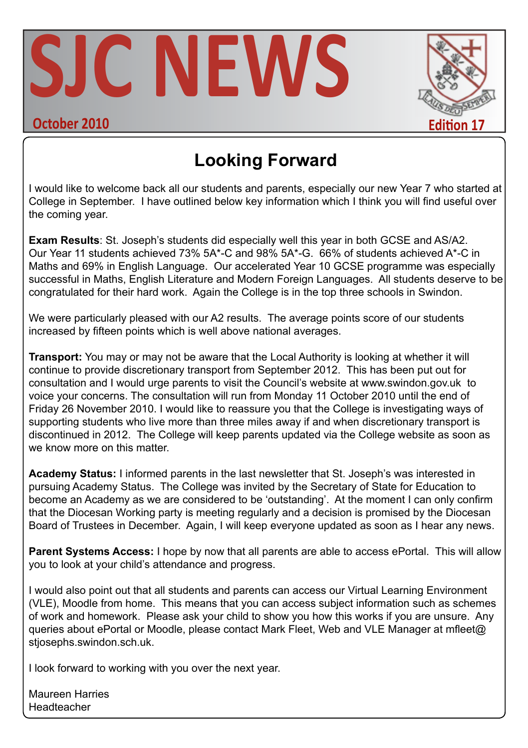



# **Looking Forward**

I would like to welcome back all our students and parents, especially our new Year 7 who started at College in September. I have outlined below key information which I think you will find useful over the coming year.

**Exam Results**: St. Joseph's students did especially well this year in both GCSE and AS/A2. Our Year 11 students achieved 73% 5A\*-C and 98% 5A\*-G. 66% of students achieved A\*-C in Maths and 69% in English Language. Our accelerated Year 10 GCSE programme was especially successful in Maths, English Literature and Modern Foreign Languages. All students deserve to be congratulated for their hard work. Again the College is in the top three schools in Swindon.

We were particularly pleased with our A2 results. The average points score of our students increased by fifteen points which is well above national averages.

**Transport:** You may or may not be aware that the Local Authority is looking at whether it will continue to provide discretionary transport from September 2012. This has been put out for consultation and I would urge parents to visit the Council's website at www.swindon.gov.uk to voice your concerns. The consultation will run from Monday 11 October 2010 until the end of Friday 26 November 2010. I would like to reassure you that the College is investigating ways of supporting students who live more than three miles away if and when discretionary transport is discontinued in 2012. The College will keep parents updated via the College website as soon as we know more on this matter.

**Academy Status:** I informed parents in the last newsletter that St. Joseph's was interested in pursuing Academy Status. The College was invited by the Secretary of State for Education to become an Academy as we are considered to be 'outstanding'. At the moment I can only confirm that the Diocesan Working party is meeting regularly and a decision is promised by the Diocesan Board of Trustees in December. Again, I will keep everyone updated as soon as I hear any news.

**Parent Systems Access:** I hope by now that all parents are able to access ePortal. This will allow you to look at your child's attendance and progress.

I would also point out that all students and parents can access our Virtual Learning Environment (VLE), Moodle from home. This means that you can access subject information such as schemes of work and homework. Please ask your child to show you how this works if you are unsure. Any queries about ePortal or Moodle, please contact Mark Fleet, Web and VLE Manager at mfleet@ stiosephs.swindon.sch.uk.

I look forward to working with you over the next year.

Maureen Harries Headteacher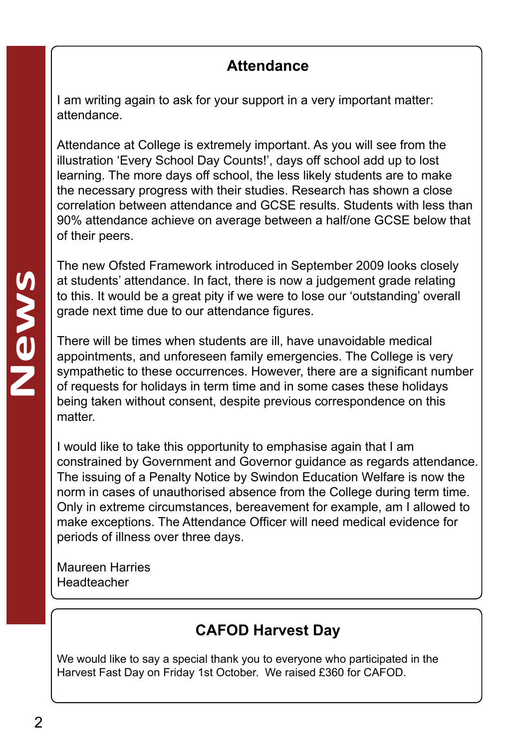#### **Attendance**

I am writing again to ask for your support in a very important matter: attendance.

Attendance at College is extremely important. As you will see from the illustration 'Every School Day Counts!', days off school add up to lost learning. The more days off school, the less likely students are to make the necessary progress with their studies. Research has shown a close correlation between attendance and GCSE results. Students with less than 90% attendance achieve on average between a half/one GCSE below that of their peers.

The new Ofsted Framework introduced in September 2009 looks closely at students' attendance. In fact, there is now a judgement grade relating to this. It would be a great pity if we were to lose our 'outstanding' overall grade next time due to our attendance figures.

There will be times when students are ill, have unavoidable medical appointments, and unforeseen family emergencies. The College is very sympathetic to these occurrences. However, there are a significant number of requests for holidays in term time and in some cases these holidays being taken without consent, despite previous correspondence on this matter

I would like to take this opportunity to emphasise again that I am constrained by Government and Governor guidance as regards attendance. The issuing of a Penalty Notice by Swindon Education Welfare is now the norm in cases of unauthorised absence from the College during term time. Only in extreme circumstances, bereavement for example, am I allowed to make exceptions. The Attendance Officer will need medical evidence for periods of illness over three days.

Maureen Harries Headteacher

#### **CAFOD Harvest Day**

We would like to say a special thank you to everyone who participated in the Harvest Fast Day on Friday 1st October. We raised £360 for CAFOD.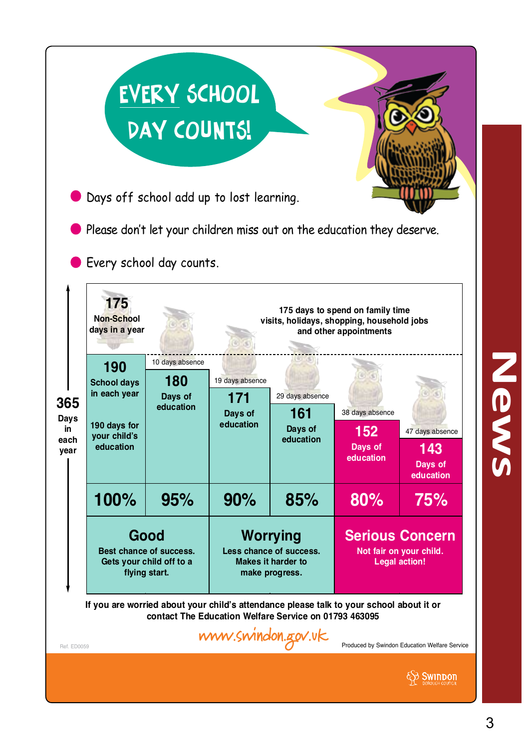|                                                                                                                                                                                                                                        |                                                                                                                                      | <b>EVERY SCHOOL</b><br>DAY COUNTS!<br>Days off school add up to lost learning.<br>Every school day counts. |                                                                                           |                                                | Please don't let your children miss out on the education they deserve.                                                                                     |                                                |  |
|----------------------------------------------------------------------------------------------------------------------------------------------------------------------------------------------------------------------------------------|--------------------------------------------------------------------------------------------------------------------------------------|------------------------------------------------------------------------------------------------------------|-------------------------------------------------------------------------------------------|------------------------------------------------|------------------------------------------------------------------------------------------------------------------------------------------------------------|------------------------------------------------|--|
| 365<br>Days<br>in<br>each<br>vear                                                                                                                                                                                                      | 175<br><b>Non-School</b><br>days in a year<br>190<br><b>School days</b><br>in each year<br>190 days for<br>your child's<br>education | 10 days absence<br>180<br>Days of<br>education                                                             | 19 days absence<br>171<br>Days of<br>education                                            | 29 days absence<br>161<br>Days of<br>education | 175 days to spend on family time<br>visits, holidays, shopping, household jobs<br>and other appointments<br>38 days absence<br>152<br>Days of<br>education | 47 days absence<br>143<br>Days of<br>education |  |
|                                                                                                                                                                                                                                        | 100%                                                                                                                                 | 95%                                                                                                        | 90%                                                                                       | 85%                                            | 80%                                                                                                                                                        | 75%                                            |  |
|                                                                                                                                                                                                                                        | Good<br>Best chance of success.<br>Gets your child off to a<br>flying start.                                                         |                                                                                                            | <b>Worrying</b><br>Less chance of success.<br><b>Makes it harder to</b><br>make progress. |                                                | <b>Serious Concern</b><br>Not fair on your child.<br><b>Legal action!</b>                                                                                  |                                                |  |
| If you are worried about your child's attendance please talk to your school about it or<br>contact The Education Welfare Service on 01793 463095<br>www.swindon.gov.uk<br>Produced by Swindon Education Welfare Service<br>Ref. ED0059 |                                                                                                                                      |                                                                                                            |                                                                                           |                                                |                                                                                                                                                            |                                                |  |
|                                                                                                                                                                                                                                        |                                                                                                                                      |                                                                                                            |                                                                                           |                                                |                                                                                                                                                            | SWINDON                                        |  |

News **News**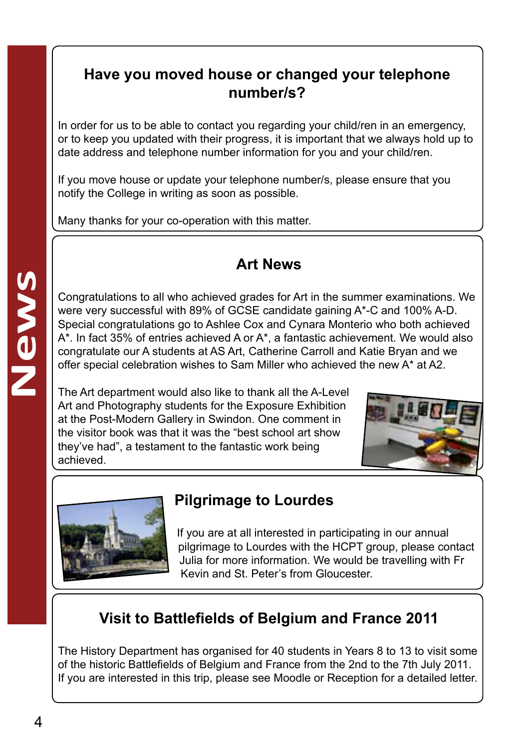#### **Have you moved house or changed your telephone number/s?**

In order for us to be able to contact you regarding your child/ren in an emergency, or to keep you updated with their progress, it is important that we always hold up to date address and telephone number information for you and your child/ren.

If you move house or update your telephone number/s, please ensure that you notify the College in writing as soon as possible.

Many thanks for your co-operation with this matter.

#### **Art News**

Congratulations to all who achieved grades for Art in the summer examinations. We were very successful with 89% of GCSE candidate gaining A\*-C and 100% A-D. Special congratulations go to Ashlee Cox and Cynara Monterio who both achieved A\*. In fact 35% of entries achieved A or A\*, a fantastic achievement. We would also congratulate our A students at AS Art, Catherine Carroll and Katie Bryan and we offer special celebration wishes to Sam Miller who achieved the new A\* at A2.

The Art department would also like to thank all the A-Level Art and Photography students for the Exposure Exhibition at the Post-Modern Gallery in Swindon. One comment in the visitor book was that it was the "best school art show they've had", a testament to the fantastic work being achieved.





# **Pilgrimage to Lourdes**

If you are at all interested in participating in our annual pilgrimage to Lourdes with the HCPT group, please contact Julia for more information. We would be travelling with Fr Kevin and St. Peter's from Gloucester.

# **Visit to Battlefields of Belgium and France 2011**

The History Department has organised for 40 students in Years 8 to 13 to visit some of the historic Battlefields of Belgium and France from the 2nd to the 7th July 2011. If you are interested in this trip, please see Moodle or Reception for a detailed letter.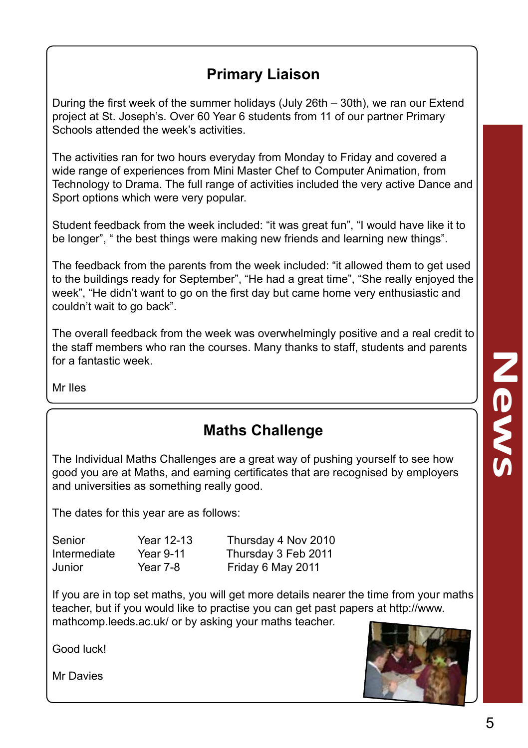### **Primary Liaison**

During the first week of the summer holidays (July 26th – 30th), we ran our Extend project at St. Joseph's. Over 60 Year 6 students from 11 of our partner Primary Schools attended the week's activities.

The activities ran for two hours everyday from Monday to Friday and covered a wide range of experiences from Mini Master Chef to Computer Animation, from Technology to Drama. The full range of activities included the very active Dance and Sport options which were very popular.

Student feedback from the week included: "it was great fun", "I would have like it to be longer", " the best things were making new friends and learning new things".

The feedback from the parents from the week included: "it allowed them to get used to the buildings ready for September", "He had a great time", "She really enjoyed the week", "He didn't want to go on the first day but came home very enthusiastic and couldn't wait to go back".

The overall feedback from the week was overwhelmingly positive and a real credit to the staff members who ran the courses. Many thanks to staff, students and parents for a fantastic week.

Mr Iles

#### **Maths Challenge**

The Individual Maths Challenges are a great way of pushing yourself to see how good you are at Maths, and earning certificates that are recognised by employers and universities as something really good.

The dates for this year are as follows:

| Senior       | Year 12-13 | Thursday 4 Nov 2010 |
|--------------|------------|---------------------|
| Intermediate | Year 9-11  | Thursday 3 Feb 2011 |
| Junior       | Year 7-8   | Friday 6 May 2011   |

If you are in top set maths, you will get more details nearer the time from your maths teacher, but if you would like to practise you can get past papers at http://www. mathcomp.leeds.ac.uk/ or by asking your maths teacher.

Good luck!

Mr Davies

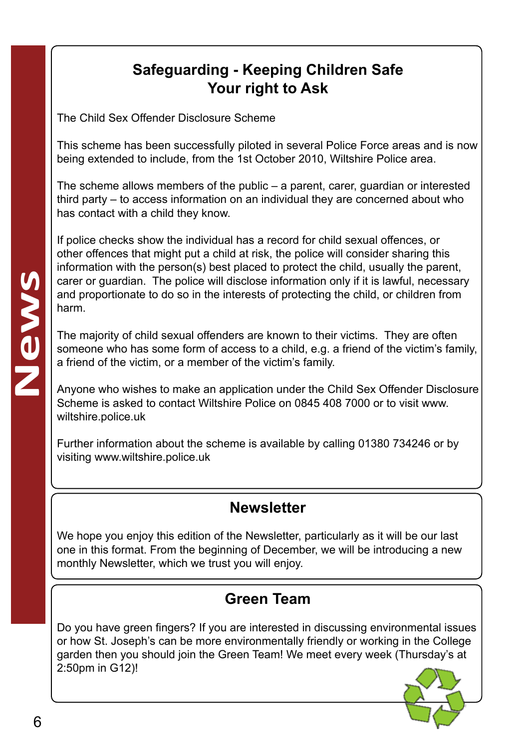#### **Safeguarding - Keeping Children Safe Your right to Ask**

The Child Sex Offender Disclosure Scheme

This scheme has been successfully piloted in several Police Force areas and is now being extended to include, from the 1st October 2010, Wiltshire Police area.

The scheme allows members of the public – a parent, carer, guardian or interested third party – to access information on an individual they are concerned about who has contact with a child they know.

If police checks show the individual has a record for child sexual offences, or other offences that might put a child at risk, the police will consider sharing this information with the person(s) best placed to protect the child, usually the parent, carer or guardian. The police will disclose information only if it is lawful, necessary and proportionate to do so in the interests of protecting the child, or children from harm.

The majority of child sexual offenders are known to their victims. They are often someone who has some form of access to a child, e.g. a friend of the victim's family, a friend of the victim, or a member of the victim's family.

Anyone who wishes to make an application under the Child Sex Offender Disclosure Scheme is asked to contact Wiltshire Police on 0845 408 7000 or to visit www. wiltshire.police.uk

Further information about the scheme is available by calling 01380 734246 or by visiting www.wiltshire.police.uk

#### **Newsletter**

We hope you enjoy this edition of the Newsletter, particularly as it will be our last one in this format. From the beginning of December, we will be introducing a new monthly Newsletter, which we trust you will enjoy.

# **Green Team**

Do you have green fingers? If you are interested in discussing environmental issues or how St. Joseph's can be more environmentally friendly or working in the College garden then you should join the Green Team! We meet every week (Thursday's at 2:50pm in G12)!

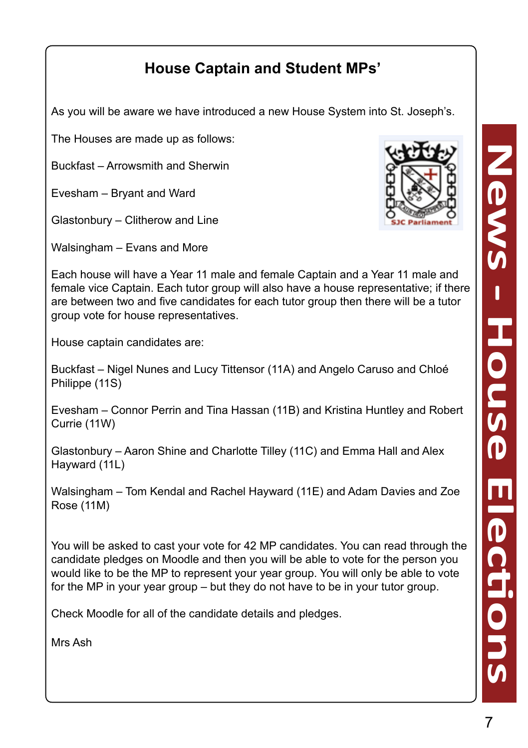# **House Captain and Student MPs'**

As you will be aware we have introduced a new House System into St. Joseph's.

The Houses are made up as follows:

Buckfast – Arrowsmith and Sherwin

Evesham – Bryant and Ward

Glastonbury – Clitherow and Line

Walsingham – Evans and More



Each house will have a Year 11 male and female Captain and a Year 11 male and female vice Captain. Each tutor group will also have a house representative; if there are between two and five candidates for each tutor group then there will be a tutor group vote for house representatives.

House captain candidates are:

Buckfast – Nigel Nunes and Lucy Tittensor (11A) and Angelo Caruso and Chloé Philippe (11S)

Evesham – Connor Perrin and Tina Hassan (11B) and Kristina Huntley and Robert Currie (11W)

Glastonbury – Aaron Shine and Charlotte Tilley (11C) and Emma Hall and Alex Hayward (11L)

Walsingham – Tom Kendal and Rachel Hayward (11E) and Adam Davies and Zoe Rose (11M)

You will be asked to cast your vote for 42 MP candidates. You can read through the candidate pledges on Moodle and then you will be able to vote for the person you would like to be the MP to represent your year group. You will only be able to vote for the MP in your year group – but they do not have to be in your tutor group.

Check Moodle for all of the candidate details and pledges.

Mrs Ash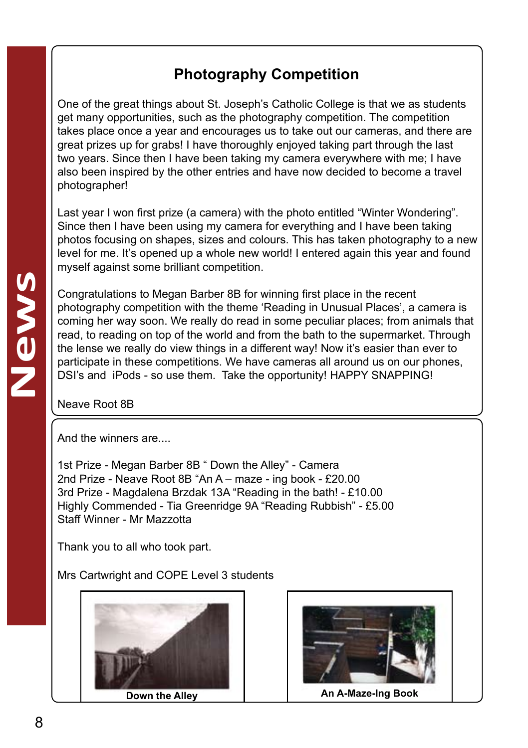### **Photography Competition**

One of the great things about St. Joseph's Catholic College is that we as students get many opportunities, such as the photography competition. The competition takes place once a year and encourages us to take out our cameras, and there are great prizes up for grabs! I have thoroughly enjoyed taking part through the last two years. Since then I have been taking my camera everywhere with me; I have also been inspired by the other entries and have now decided to become a travel photographer!

Last year I won first prize (a camera) with the photo entitled "Winter Wondering". Since then I have been using my camera for everything and I have been taking photos focusing on shapes, sizes and colours. This has taken photography to a new level for me. It's opened up a whole new world! I entered again this year and found myself against some brilliant competition.

Congratulations to Megan Barber 8B for winning first place in the recent photography competition with the theme 'Reading in Unusual Places', a camera is coming her way soon. We really do read in some peculiar places; from animals that read, to reading on top of the world and from the bath to the supermarket. Through the lense we really do view things in a different way! Now it's easier than ever to participate in these competitions. We have cameras all around us on our phones, DSI's and iPods - so use them. Take the opportunity! HAPPY SNAPPING!

Neave Root 8B

And the winners are

1st Prize - Megan Barber 8B " Down the Alley" - Camera 2nd Prize - Neave Root 8B "An A – maze - ing book - £20.00 3rd Prize - Magdalena Brzdak 13A "Reading in the bath! - £10.00 Highly Commended - Tia Greenridge 9A "Reading Rubbish" - £5.00 Staff Winner - Mr Mazzotta

Thank you to all who took part.

Mrs Cartwright and COPE Level 3 students



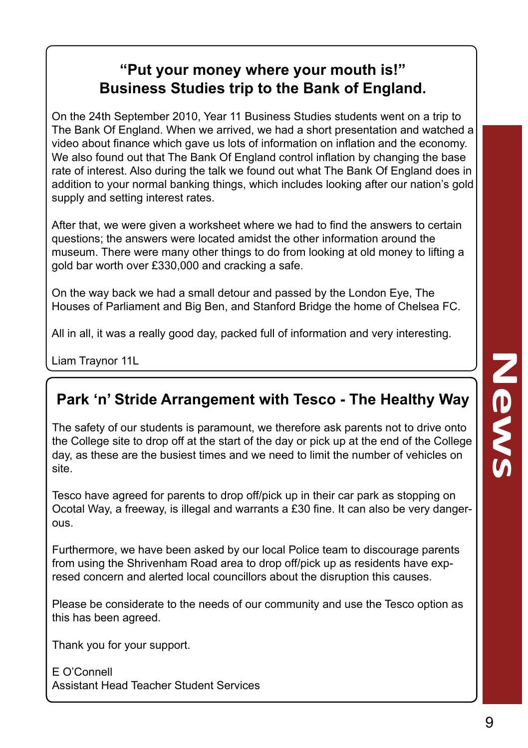#### **"Put your money where your mouth is!" Business Studies trip to the Bank of England.**

On the 24th September 2010, Year 11 Business Studies students went on a trip to The Bank Of England. When we arrived, we had a short presentation and watched a video about finance which gave us lots of information on inflation and the economy. We also found out that The Bank Of England control inflation by changing the base rate of interest. Also during the talk we found out what The Bank Of England does in addition to your normal banking things, which includes looking after our nation's gold supply and setting interest rates.

After that, we were given a worksheet where we had to find the answers to certain questions; the answers were located amidst the other information around the museum. There were many other things to do from looking at old money to lifting a gold bar worth over £330,000 and cracking a safe.

On the way back we had a small detour and passed by the London Eye, The Houses of Parliament and Big Ben, and Stanford Bridge the home of Chelsea FC.

All in all, it was a really good day, packed full of information and very interesting.

Liam Traynor 11L

#### **Park 'n' Stride Arrangement with Tesco - The Healthy Way**

The safety of our students is paramount, we therefore ask parents not to drive onto the College site to drop off at the start of the day or pick up at the end of the College day, as these are the busiest times and we need to limit the number of vehicles on site.

Tesco have agreed for parents to drop off/pick up in their car park as stopping on Ocotal Way, a freeway, is illegal and warrants a £30 fine. It can also be very dangerous.

Furthermore, we have been asked by our local Police team to discourage parents from using the Shrivenham Road area to drop off/pick up as residents have expresed concern and alerted local councillors about the disruption this causes.

Please be considerate to the needs of our community and use the Tesco option as this has been agreed.

Thank you for your support.

E O'Connell Assistant Head Teacher Student Services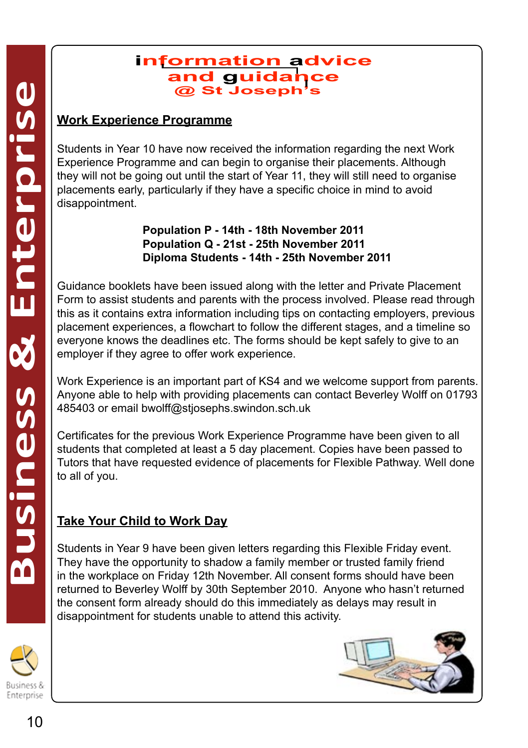#### **@ St Joseph's information advice and guidance**

Students in Year 10 have now received the information regarding the next Work Experience Programme and can begin to organise their placements. Although they will not be going out until the start of Year 11, they will still need to organise placements early, particularly if they have a specific choice in mind to avoid disappointment.

> **Population P - 14th - 18th November 2011 Population Q - 21st - 25th November 2011 Diploma Students - 14th - 25th November 2011**

Guidance booklets have been issued along with the letter and Private Placement Form to assist students and parents with the process involved. Please read through this as it contains extra information including tips on contacting employers, previous placement experiences, a flowchart to follow the different stages, and a timeline so everyone knows the deadlines etc. The forms should be kept safely to give to an employer if they agree to offer work experience.

Work Experience is an important part of KS4 and we welcome support from parents. Anyone able to help with providing placements can contact Beverley Wolff on 01793 485403 or email bwolff@stjosephs.swindon.sch.uk

Certificates for the previous Work Experience Programme have been given to all students that completed at least a 5 day placement. Copies have been passed to Tutors that have requested evidence of placements for Flexible Pathway. Well done to all of you.

#### **Take Your Child to Work Day**

Students in Year 9 have been given letters regarding this Flexible Friday event. They have the opportunity to shadow a family member or trusted family friend in the workplace on Friday 12th November. All consent forms should have been returned to Beverley Wolff by 30th September 2010. Anyone who hasn't returned the consent form already should do this immediately as delays may result in disappointment for students unable to attend this activity.



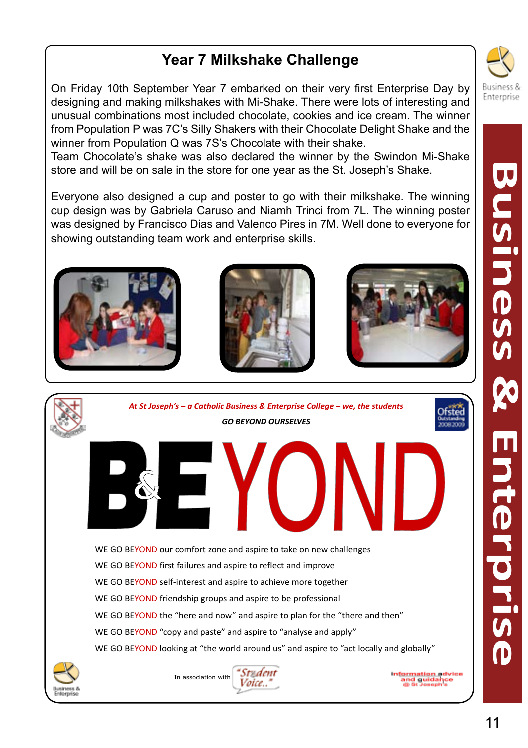### **Year 7 Milkshake Challenge**

On Friday 10th September Year 7 embarked on their very first Enterprise Day by designing and making milkshakes with Mi-Shake. There were lots of interesting and unusual combinations most included chocolate, cookies and ice cream. The winner from Population P was 7C's Silly Shakers with their Chocolate Delight Shake and the winner from Population Q was 7S's Chocolate with their shake.

Team Chocolate's shake was also declared the winner by the Swindon Mi-Shake store and will be on sale in the store for one year as the St. Joseph's Shake.

Everyone also designed a cup and poster to go with their milkshake. The winning cup design was by Gabriela Caruso and Niamh Trinci from 7L. The winning poster was designed by Francisco Dias and Valenco Pires in 7M. Well done to everyone for showing outstanding team work and enterprise skills.













information advice<br>and guidance<br>and topper

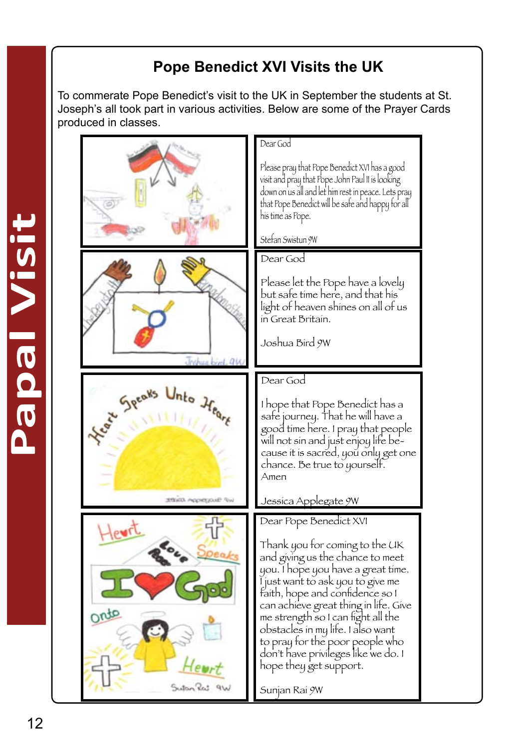# **Pope Benedict XVI Visits the UK**

To commerate Pope Benedict's visit to the UK in September the students at St. Joseph's all took part in various activities. Below are some of the Prayer Cards produced in classes.

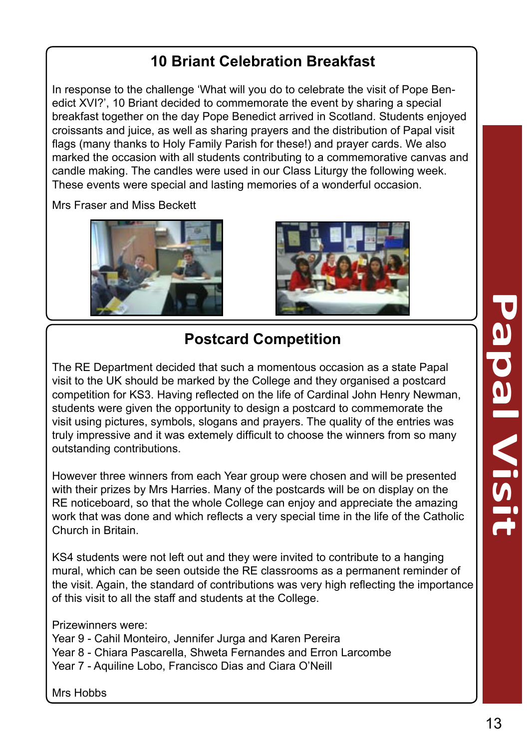#### **10 Briant Celebration Breakfast**

In response to the challenge 'What will you do to celebrate the visit of Pope Ben edict XVI?', 10 Briant decided to commemorate the event by sharing a special breakfast together on the day Pope Benedict arrived in Scotland. Students enjoyed croissants and juice, as well as sharing prayers and the distribution of Papal visit flags (many thanks to Holy Family Parish for these!) and prayer cards. We also marked the occasion with all students contributing to a commemorative canvas and candle making. The candles were used in our Class Liturgy the following week. These events were special and lasting memories of a wonderful occasion.

Mrs Fraser and Miss Beckett





# **Postcard Competition**

The RE Department decided that such a momentous occasion as a state Papal visit to the UK should be marked by the College and they organised a postcard competition for KS3. Having reflected on the life of Cardinal John Henry Newman, students were given the opportunity to design a postcard to commemorate the visit using pictures, symbols, slogans and prayers. The quality of the entries was truly impressive and it was extemely difficult to choose the winners from so many outstanding contributions.

However three winners from each Year group were chosen and will be presented with their prizes by Mrs Harries. Many of the postcards will be on display on the RE noticeboard, so that the whole College can enjoy and appreciate the amazing work that was done and which reflects a very special time in the life of the Catholic Church in Britain.

KS4 students were not left out and they were invited to contribute to a hanging mural, which can be seen outside the RE classrooms as a permanent reminder of the visit. Again, the standard of contributions was very high reflecting the importance of this visit to all the staff and students at the College.

Prizewinners were:

- Year 9 Cahil Monteiro, Jennifer Jurga and Karen Pereira
- Year 8 Chiara Pascarella, Shweta Fernandes and Erron Larcombe

Year 7 - Aquiline Lobo, Francisco Dias and Ciara O'Neill

Mrs Hobbs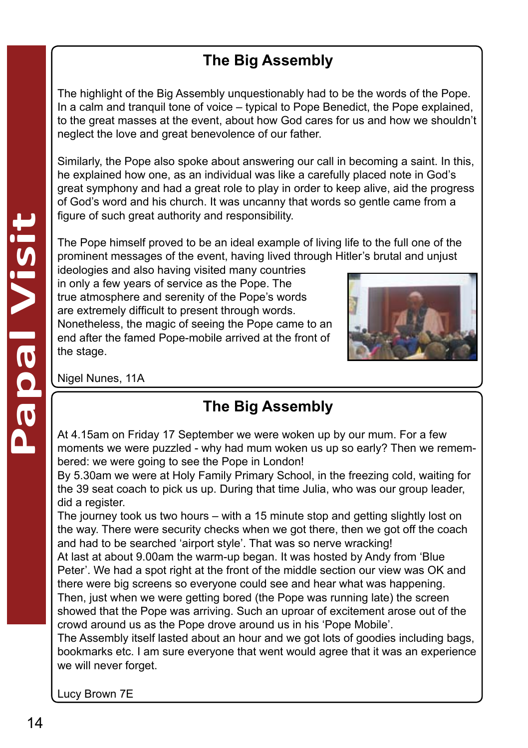# **The Big Assembly**

The highlight of the Big Assembly unquestionably had to be the words of the Pope. In a calm and tranquil tone of voice – typical to Pope Benedict, the Pope explained, to the great masses at the event, about how God cares for us and how we shouldn't neglect the love and great benevolence of our father.

Similarly, the Pope also spoke about answering our call in becoming a saint. In this, he explained how one, as an individual was like a carefully placed note in God's great symphony and had a great role to play in order to keep alive, aid the progress of God's word and his church. It was uncanny that words so gentle came from a figure of such great authority and responsibility.

The Pope himself proved to be an ideal example of living life to the full one of the prominent messages of the event, having lived through Hitler's brutal and unjust

ideologies and also having visited many countries in only a few years of service as the Pope. The true atmosphere and serenity of the Pope's words are extremely difficult to present through words. Nonetheless, the magic of seeing the Pope came to an end after the famed Pope-mobile arrived at the front of the stage.



Nigel Nunes, 11A

# **The Big Assembly**

At 4.15am on Friday 17 September we were woken up by our mum. For a few moments we were puzzled - why had mum woken us up so early? Then we remembered: we were going to see the Pope in London!

By 5.30am we were at Holy Family Primary School, in the freezing cold, waiting for the 39 seat coach to pick us up. During that time Julia, who was our group leader, did a register.

The journey took us two hours – with a 15 minute stop and getting slightly lost on the way. There were security checks when we got there, then we got off the coach and had to be searched 'airport style'. That was so nerve wracking!

At last at about 9.00am the warm-up began. It was hosted by Andy from 'Blue Peter'. We had a spot right at the front of the middle section our view was OK and there were big screens so everyone could see and hear what was happening. Then, just when we were getting bored (the Pope was running late) the screen showed that the Pope was arriving. Such an uproar of excitement arose out of the crowd around us as the Pope drove around us in his 'Pope Mobile'.

The Assembly itself lasted about an hour and we got lots of goodies including bags, bookmarks etc. I am sure everyone that went would agree that it was an experience we will never forget.

Lucy Brown 7E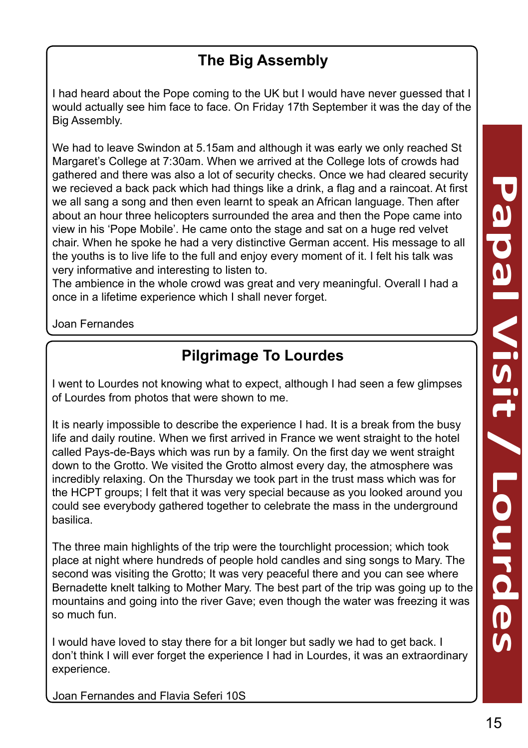#### **The Big Assembly**

I had heard about the Pope coming to the UK but I would have never guessed that I would actually see him face to face. On Friday 17th September it was the day of the Big Assembly.

We had to leave Swindon at 5.15am and although it was early we only reached St Margaret's College at 7:30am. When we arrived at the College lots of crowds had gathered and there was also a lot of security checks. Once we had cleared security we recieved a back pack which had things like a drink, a flag and a raincoat. At first we all sang a song and then even learnt to speak an African language. Then after about an hour three helicopters surrounded the area and then the Pope came into view in his 'Pope Mobile'. He came onto the stage and sat on a huge red velvet chair. When he spoke he had a very distinctive German accent. His message to all the youths is to live life to the full and enjoy every moment of it. I felt his talk was very informative and interesting to listen to.

The ambience in the whole crowd was great and very meaningful. Overall I had a once in a lifetime experience which I shall never forget.

Joan Fernandes

#### **Pilgrimage To Lourdes**

I went to Lourdes not knowing what to expect, although I had seen a few glimpses of Lourdes from photos that were shown to me.

It is nearly impossible to describe the experience I had. It is a break from the busy life and daily routine. When we first arrived in France we went straight to the hotel called Pays-de-Bays which was run by a family. On the first day we went straight down to the Grotto. We visited the Grotto almost every day, the atmosphere was incredibly relaxing. On the Thursday we took part in the trust mass which was for the HCPT groups; I felt that it was very special because as you looked around you could see everybody gathered together to celebrate the mass in the underground basilica.

The three main highlights of the trip were the tourchlight procession; which took place at night where hundreds of people hold candles and sing songs to Mary. The second was visiting the Grotto; It was very peaceful there and you can see where Bernadette knelt talking to Mother Mary. The best part of the trip was going up to the mountains and going into the river Gave; even though the water was freezing it was so much fun.

I would have loved to stay there for a bit longer but sadly we had to get back. I don't think I will ever forget the experience I had in Lourdes, it was an extraordinary experience.

Joan Fernandes and Flavia Seferi 10S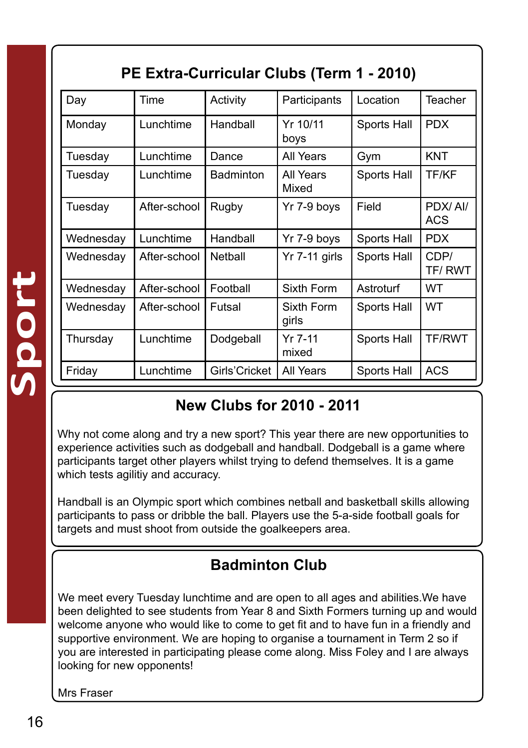| Day       | Time         | Activity         | Participants        | Location    | Teacher        |
|-----------|--------------|------------------|---------------------|-------------|----------------|
| Monday    | Lunchtime    | Handball         | Yr 10/11<br>boys    | Sports Hall | <b>PDX</b>     |
| Tuesdav   | Lunchtime    | Dance            | All Years           | Gym         | <b>KNT</b>     |
| Tuesday   | Lunchtime    | <b>Badminton</b> | All Years<br>Mixed  | Sports Hall | TF/KF          |
| Tuesday   | After-school | Rugby            | Yr 7-9 boys         | Field       | PDX/AI/<br>ACS |
| Wednesday | Lunchtime    | Handball         | Yr 7-9 boys         | Sports Hall | <b>PDX</b>     |
| Wednesday | After-school | Netball          | Yr 7-11 girls       | Sports Hall | CDP/<br>TF/RWT |
| Wednesday | After-school | Football         | Sixth Form          | Astroturf   | WT             |
| Wednesday | After-school | Futsal           | Sixth Form<br>girls | Sports Hall | <b>WT</b>      |
| Thursday  | Lunchtime    | Dodgeball        | $Yr$ 7-11<br>mixed  | Sports Hall | TF/RWT         |
| Friday    | Lunchtime    | Girls'Cricket    | All Years           | Sports Hall | <b>ACS</b>     |

# **PE Extra-Curricular Clubs (Term 1 - 2010)**

#### **New Clubs for 2010 - 2011**

Why not come along and try a new sport? This year there are new opportunities to experience activities such as dodgeball and handball. Dodgeball is a game where participants target other players whilst trying to defend themselves. It is a game which tests agilitiy and accuracy.

Handball is an Olympic sport which combines netball and basketball skills allowing participants to pass or dribble the ball. Players use the 5-a-side football goals for targets and must shoot from outside the goalkeepers area.

#### **Badminton Club**

We meet every Tuesday lunchtime and are open to all ages and abilities.We have been delighted to see students from Year 8 and Sixth Formers turning up and would welcome anyone who would like to come to get fit and to have fun in a friendly and supportive environment. We are hoping to organise a tournament in Term 2 so if you are interested in participating please come along. Miss Foley and I are always looking for new opponents!

Mrs Fraser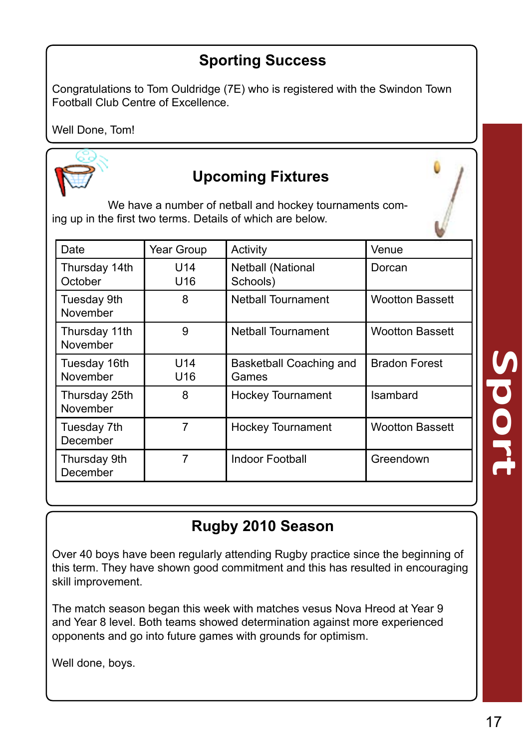#### **Sporting Success**

Congratulations to Tom Ouldridge (7E) who is registered with the Swindon Town Football Club Centre of Excellence.

Well Done, Tom!



#### **Upcoming Fixtures**

We have a number of netball and hockey tournaments coming up in the first two terms. Details of which are below.

| Date                      | Year Group             | Activity                         | Venue                  |
|---------------------------|------------------------|----------------------------------|------------------------|
| Thursday 14th<br>October  | U14<br>U16             | Netball (National<br>Schools)    | Dorcan                 |
| Tuesday 9th<br>November   | 8                      | <b>Netball Tournament</b>        | <b>Wootton Bassett</b> |
| Thursday 11th<br>November | 9                      | <b>Netball Tournament</b>        | <b>Wootton Bassett</b> |
| Tuesday 16th<br>November  | U <sub>14</sub><br>U16 | Basketball Coaching and<br>Games | <b>Bradon Forest</b>   |
| Thursday 25th<br>November | 8                      | <b>Hockey Tournament</b>         | Isambard               |
| Tuesday 7th<br>December   | 7                      | <b>Hockey Tournament</b>         | <b>Wootton Bassett</b> |
| Thursday 9th<br>December  | 7                      | Indoor Football                  | Greendown              |

# **Rugby 2010 Season**

Over 40 boys have been regularly attending Rugby practice since the beginning of this term. They have shown good commitment and this has resulted in encouraging skill improvement.

The match season began this week with matches vesus Nova Hreod at Year 9 and Year 8 level. Both teams showed determination against more experienced opponents and go into future games with grounds for optimism.

Well done, boys.

**Sport**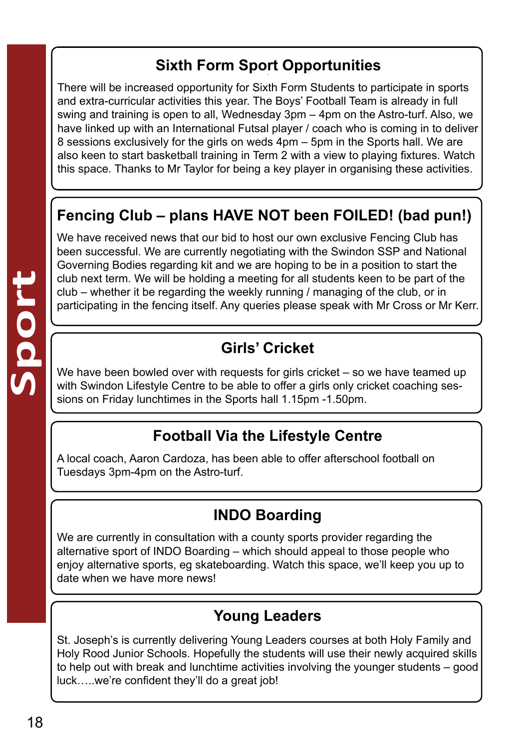### **Sixth Form Sport Opportunities §**

There will be increased opportunity for Sixth Form Students to participate in sports and extra-curricular activities this year. The Boys' Football Team is already in full swing and training is open to all, Wednesday 3pm – 4pm on the Astro-turf. Also, we have linked up with an International Futsal player / coach who is coming in to deliver 8 sessions exclusively for the girls on weds 4pm – 5pm in the Sports hall. We are also keen to start basketball training in Term 2 with a view to playing fixtures. Watch this space. Thanks to Mr Taylor for being a key player in organising these activities.

# **Fencing Club – plans HAVE NOT been FOILED! (bad pun!)**

We have received news that our bid to host our own exclusive Fencing Club has been successful. We are currently negotiating with the Swindon SSP and National Governing Bodies regarding kit and we are hoping to be in a position to start the club next term. We will be holding a meeting for all students keen to be part of the club – whether it be regarding the weekly running / managing of the club, or in participating in the fencing itself. Any queries please speak with Mr Cross or Mr Kerr.

# **Girls' Cricket**

We have been bowled over with requests for girls cricket – so we have teamed up with Swindon Lifestyle Centre to be able to offer a girls only cricket coaching sessions on Friday lunchtimes in the Sports hall 1.15pm -1.50pm.

#### **Football Via the Lifestyle Centre**

A local coach, Aaron Cardoza, has been able to offer afterschool football on Tuesdays 3pm-4pm on the Astro-turf.

# **INDO Boarding**

We are currently in consultation with a county sports provider regarding the alternative sport of INDO Boarding – which should appeal to those people who enjoy alternative sports, eg skateboarding. Watch this space, we'll keep you up to date when we have more news!

#### **Young Leaders**

St. Joseph's is currently delivering Young Leaders courses at both Holy Family and Holy Rood Junior Schools. Hopefully the students will use their newly acquired skills to help out with break and lunchtime activities involving the younger students – good luck…..we're confident they'll do a great job!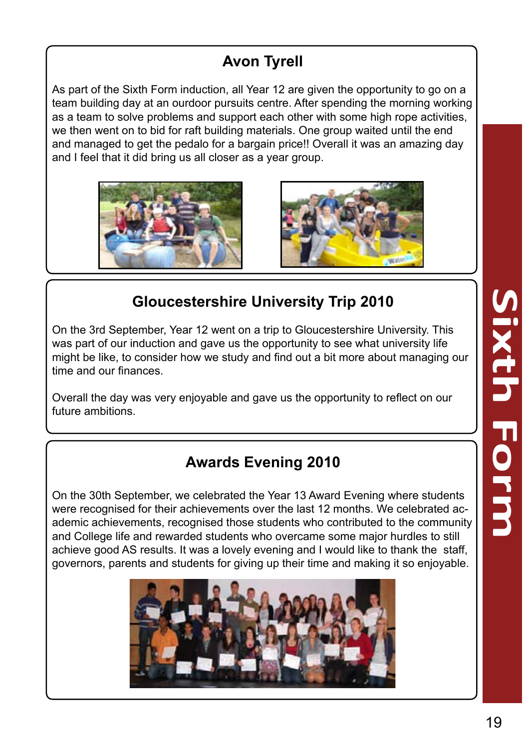# **Avon Tyrell**

As part of the Sixth Form induction, all Year 12 are given the opportunity to go on a team building day at an ourdoor pursuits centre. After spending the morning working as a team to solve problems and support each other with some high rope activities, we then went on to bid for raft building materials. One group waited until the end and managed to get the pedalo for a bargain price!! Overall it was an amazing day and I feel that it did bring us all closer as a year group.





#### **Gloucestershire University Trip 2010**

On the 3rd September, Year 12 went on a trip to Gloucestershire University. This was part of our induction and gave us the opportunity to see what university life might be like, to consider how we study and find out a bit more about managing our time and our finances.

Overall the day was very enjoyable and gave us the opportunity to reflect on our future ambitions.

#### **Awards Evening 2010**

On the 30th September, we celebrated the Year 13 Award Evening where students were recognised for their achievements over the last 12 months. We celebrated ac ademic achievements, recognised those students who contributed to the community and College life and rewarded students who overcame some major hurdles to still achieve good AS results. It was a lovely evening and I would like to thank the staff, governors, parents and students for giving up their time and making it so enjoyable.